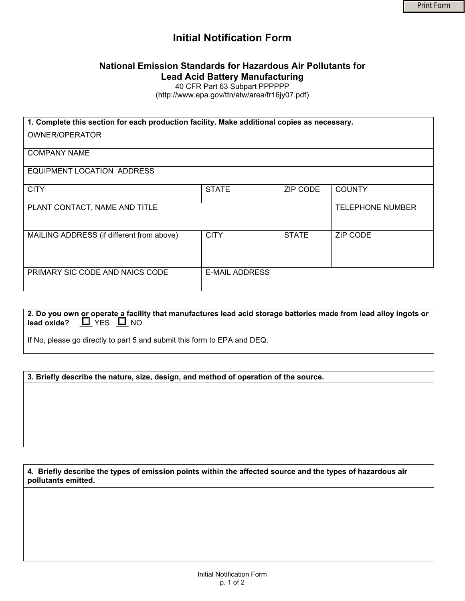# **Initial Notification Form**

# **National Emission Standards for Hazardous Air Pollutants for Lead Acid Battery Manufacturing**

40 CFR Part 63 Subpart PPPPPP

(http://www.epa.gov/ttn/atw/area/fr16jy07.pdf)

| 1. Complete this section for each production facility. Make additional copies as necessary. |                       |              |                         |
|---------------------------------------------------------------------------------------------|-----------------------|--------------|-------------------------|
| <b>OWNER/OPERATOR</b>                                                                       |                       |              |                         |
| <b>COMPANY NAME</b>                                                                         |                       |              |                         |
| EQUIPMENT LOCATION ADDRESS                                                                  |                       |              |                         |
| <b>CITY</b>                                                                                 | <b>STATE</b>          | ZIP CODE     | <b>COUNTY</b>           |
| PLANT CONTACT, NAME AND TITLE                                                               |                       |              | <b>TELEPHONE NUMBER</b> |
| MAILING ADDRESS (if different from above)                                                   | <b>CITY</b>           | <b>STATE</b> | ZIP CODE                |
| PRIMARY SIC CODE AND NAICS CODE                                                             | <b>E-MAIL ADDRESS</b> |              |                         |

**2. Do you own or operate a facility that manufactures lead acid storage batteries made from lead alloy ingots or lead oxide?**  $\boxed{\underline{\Box}}$  YES  $\boxed{\underline{\Box}}$  NO

If No, please go directly to part 5 and submit this form to EPA and DEQ.

**3. Briefly describe the nature, size, design, and method of operation of the source.** 

**4. Briefly describe the types of emission points within the affected source and the types of hazardous air pollutants emitted.**